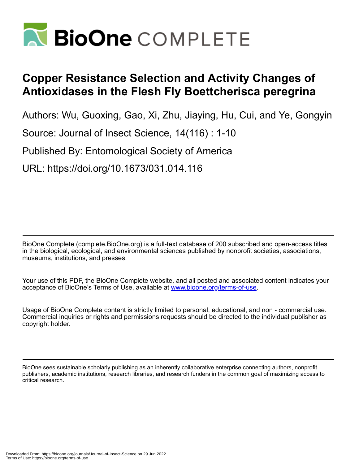

# **Copper Resistance Selection and Activity Changes of Antioxidases in the Flesh Fly Boettcherisca peregrina**

Authors: Wu, Guoxing, Gao, Xi, Zhu, Jiaying, Hu, Cui, and Ye, Gongyin

Source: Journal of Insect Science, 14(116) : 1-10

Published By: Entomological Society of America

URL: https://doi.org/10.1673/031.014.116

BioOne Complete (complete.BioOne.org) is a full-text database of 200 subscribed and open-access titles in the biological, ecological, and environmental sciences published by nonprofit societies, associations, museums, institutions, and presses.

Your use of this PDF, the BioOne Complete website, and all posted and associated content indicates your acceptance of BioOne's Terms of Use, available at www.bioone.org/terms-of-use.

Usage of BioOne Complete content is strictly limited to personal, educational, and non - commercial use. Commercial inquiries or rights and permissions requests should be directed to the individual publisher as copyright holder.

BioOne sees sustainable scholarly publishing as an inherently collaborative enterprise connecting authors, nonprofit publishers, academic institutions, research libraries, and research funders in the common goal of maximizing access to critical research.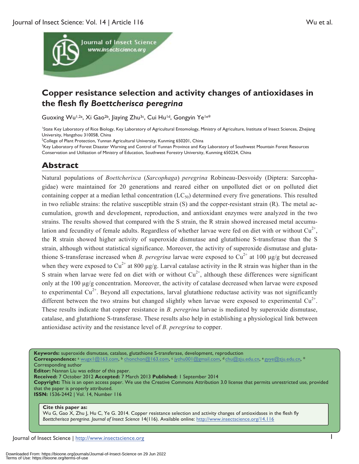

## **Copper resistance selection and activity changes of antioxidases in the flesh fly** *Boettcherisca peregrina*

Guoxing Wu1,2a, Xi Gao2b, Jiaying Zhu3c, Cui Hu1d, Gongyin Ye1e\*

1 State Key Laboratory of Rice Biology, Key Laboratory of Agricultural Entomology, Ministry of Agriculture, Institute of Insect Sciences, Zhejiang University, Hangzhou 310058, China

<sup>2</sup>College of Plant Protection, Yunnan Agricultural University, Kunming 650201, China

<sup>3</sup>Key Laboratory of Forest Disaster Warning and Control of Yunnan Province and Key Laboratory of Southwest Mountain Forest Resources Conservation and Utilization of Ministry of Education, Southwest Forestry University, Kunming 650224, China

## **Abstract**

Natural populations of *Boettcherisca* (*Sarcophaga*) *peregrina* Robineau-Desvoidy (Diptera: Sarcophagidae) were maintained for 20 generations and reared either on unpolluted diet or on polluted diet containing copper at a median lethal concentration  $(LC_{50})$  determined every five generations. This resulted in two reliable strains: the relative susceptible strain  $(S)$  and the copper-resistant strain  $(R)$ . The metal accumulation, growth and development, reproduction, and antioxidant enzymes were analyzed in the two strains. The results showed that compared with the S strain, the R strain showed increased metal accumulation and fecundity of female adults. Regardless of whether larvae were fed on diet with or without  $Cu^{2+}$ , the R strain showed higher activity of superoxide dismutase and glutathione S-transferase than the S strain, although without statistical significance. Moreover, the activity of superoxide dismutase and glutathione S-transferase increased when *B. peregrina* larvae were exposed to  $Cu^{2+}$  at 100 µg/g but decreased when they were exposed to  $Cu^{2+}$  at 800 µg/g. Larval catalase activity in the R strain was higher than in the S strain when larvae were fed on diet with or without  $Cu^{2+}$ , although these differences were significant only at the 100 μg/g concentration. Moreover, the activity of catalase decreased when larvae were exposed to experimental  $Cu^{2+}$ . Beyond all expectations, larval glutathione reductase activity was not significantly different between the two strains but changed slightly when larvae were exposed to experimental  $Cu^{2+}$ . These results indicate that copper resistance in *B. peregrina* larvae is mediated by superoxide dismutase, catalase, and glutathione S-transferase. These results also help in establishing a physiological link between antioxidase activity and the resistance level of *B. peregrina* to copper.

**Keywords:** superoxide dismutase, catalase, glutathione S-transferase, development, reproduction

**Correspondence:** <sup>a</sup> wugx1@163.com, b chonchon@163.com, c jyzhu001@gmail.com, d chu@zju.edu.cn, e gyye@zju.edu.cn, \* Corresponding author

**Editor:** Nannan Liu was editor of this paper.

**Received:** 7 October 2012 **Accepted:** 7 March 2013 **Published:** 1 September 2014

**Copyright:** This is an open access paper. We use the Creative Commons Attribution 3.0 license that permits unrestricted use, provided that the paper is properly attributed.

**ISSN:** 1536-2442 | Vol. 14, Number 116

## **Cite this paper as:**

Wu G, Gao X, Zhu J, Hu C, Ye G. 2014. Copper resistance selection and activity changes of antioxidases in the flesh fly *Boettcherisca peregrina*. *Journal of Insect Science* 14(116). Available online: http://www.insectscience.org/14.116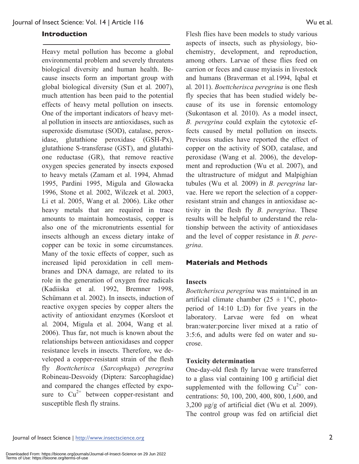#### **Introduction**

Heavy metal pollution has become a global environmental problem and severely threatens biological diversity and human health. Because insects form an important group with global biological diversity (Sun et al*.* 2007), much attention has been paid to the potential effects of heavy metal pollution on insects. One of the important indicators of heavy metal pollution in insects are antioxidases, such as superoxide dismutase (SOD), catalase, peroxidase, glutathione peroxidase (GSH-Px), glutathione S-transferase (GST), and glutathione reductase (GR), that remove reactive oxygen species generated by insects exposed to heavy metals (Zamam et al. 1994, Ahmad 1995, Pardini 1995, Migula and Glowacka 1996, Stone et al*.* 2002, Wilczek et al. 2003, Li et al. 2005, Wang et al*.* 2006). Like other heavy metals that are required in trace amounts to maintain homeostasis, copper is also one of the micronutrients essential for insects although an excess dietary intake of copper can be toxic in some circumstances. Many of the toxic effects of copper, such as increased lipid peroxidation in cell membranes and DNA damage, are related to its role in the generation of oxygen free radicals (Kadiiska et al. 1992, Bremner 1998, Schümann et al. 2002). In insects, induction of reactive oxygen species by copper alters the activity of antioxidant enzymes (Korsloot et al*.* 2004, Migula et al. 2004, Wang et al*.* 2006). Thus far, not much is known about the relationships between antioxidases and copper resistance levels in insects. Therefore, we developed a copper-resistant strain of the flesh fly *Boettcherisca* (*Sarcophaga*) *peregrina* Robineau-Desvoidy (Diptera: Sarcophagidae) and compared the changes effected by exposure to  $Cu^{2+}$  between copper-resistant and susceptible flesh fly strains.

Flesh flies have been models to study various aspects of insects, such as physiology, biochemistry, development, and reproduction, among others. Larvae of these flies feed on carrion or feces and cause myiasis in livestock and humans (Braverman et al*.*1994, Iqbal et al*.* 2011). *Boettcherisca peregrina* is one flesh fly species that has been studied widely because of its use in forensic entomology (Sukontason et al*.* 2010). As a model insect, *B. peregrina* could explain the cytotoxic effects caused by metal pollution on insects. Previous studies have reported the effect of copper on the activity of SOD, catalase, and peroxidase (Wang et al. 2006), the development and reproduction (Wu et al. 2007), and the ultrastructure of midgut and Malpighian tubules (Wu et al*.* 2009) in *B. peregrina* larvae. Here we report the selection of a copperresistant strain and changes in antioxidase activity in the flesh fly *B. peregrina*. These results will be helpful to understand the relationship between the activity of antioxidases and the level of copper resistance in *B. peregrina*.

#### **Materials and Methods**

#### **Insects**

*Boettcherisca peregrina* was maintained in an artificial climate chamber ( $25 \pm 1$ °C, photoperiod of 14:10 L:D) for five years in the laboratory. Larvae were fed on wheat bran:water:porcine liver mixed at a ratio of 3:5:6, and adults were fed on water and sucrose.

#### **Toxicity determination**

One-day-old flesh fly larvae were transferred to a glass vial containing 100 g artificial diet supplemented with the following  $Cu^{2+}$  concentrations: 50, 100, 200, 400, 800, 1,600, and 3,200 μg/g of artificial diet (Wu et al*.* 2009). The control group was fed on artificial diet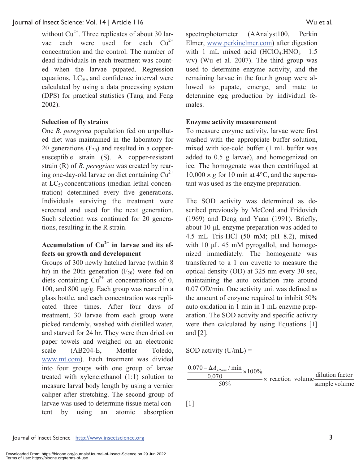without  $Cu^{2+}$ . Three replicates of about 30 larvae each were used for each  $Cu^{2+}$ concentration and the control. The number of dead individuals in each treatment was counted when the larvae pupated. Regression equations,  $LC_{50}$  and confidence interval were calculated by using a data processing system (DPS) for practical statistics (Tang and Feng 2002).

#### **Selection of fly strains**

One *B. peregrina* population fed on unpolluted diet was maintained in the laboratory for 20 generations  $(F_{20})$  and resulted in a coppersusceptible strain (S). A copper-resistant strain (R) of *B. peregrina* was created by rearing one-day-old larvae on diet containing  $Cu^{2+}$ at  $LC_{50}$  concentrations (median lethal concentration) determined every five generations. Individuals surviving the treatment were screened and used for the next generation. Such selection was continued for 20 generations, resulting in the R strain.

### **Accumulation of Cu2+ in larvae and its effects on growth and development**

Groups of 300 newly hatched larvae (within 8 hr) in the 20th generation  $(F_{20})$  were fed on diets containing  $Cu^{2+}$  at concentrations of 0, 100, and 800 μg/g. Each group was reared in a glass bottle, and each concentration was replicated three times. After four days of treatment, 30 larvae from each group were picked randomly, washed with distilled water, and starved for 24 hr. They were then dried on paper towels and weighed on an electronic scale (AB204-E, Mettler Toledo, www.mt.com). Each treatment was divided into four groups with one group of larvae treated with xylene:ethanol (1:1) solution to measure larval body length by using a vernier caliper after stretching. The second group of larvae was used to determine tissue metal content by using an atomic absorption

spectrophotometer (AAnalyst100, Perkin Elmer, www.perkinelmer.com) after digestion with 1 mL mixed acid  $(HClO<sub>4</sub>:HNO<sub>3</sub> = 1:5$ v/v) (Wu et al*.* 2007). The third group was used to determine enzyme activity, and the remaining larvae in the fourth group were allowed to pupate, emerge, and mate to determine egg production by individual females.

#### **Enzyme activity measurement**

To measure enzyme activity, larvae were first washed with the appropriate buffer solution, mixed with ice-cold buffer (1 mL buffer was added to 0.5 g larvae), and homogenized on ice. The homogenate was then centrifuged at  $10,000 \times g$  for 10 min at 4<sup>o</sup>C, and the supernatant was used as the enzyme preparation.

The SOD activity was determined as described previously by McCord and Fridovich (1969) and Deng and Yuan (1991). Briefly, about 10 μL enzyme preparation was added to 4.5 mL Tris-HCl (50 mM; pH 8.2), mixed with 10 μL 45 mM pyrogallol, and homogenized immediately. The homogenate was transferred to a 1 cm cuvette to measure the optical density (OD) at 325 nm every 30 sec, maintaining the auto oxidation rate around 0.07 OD/min. One activity unit was defined as the amount of enzyme required to inhibit 50% auto oxidation in 1 min in 1 mL enzyme preparation. The SOD activity and specific activity were then calculated by using Equations [1] and [2].

SOD activity  $(U/mL)$  =

$$
\frac{0.070 - \Delta A_{325nm} / \text{min}}{0.070} \times 100\%
$$
  
\n
$$
\times \text{ reaction volume} \frac{\text{dilution factor}}{\text{sample volume}}
$$

 $[1]$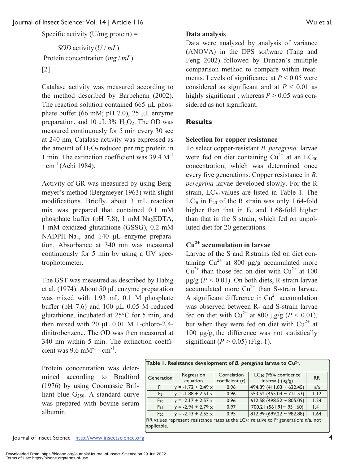Specific activity  $(U/mg)$  protein) =

Protein concentration (*mg* / *mL*) SOD activity  $(U / mL)$ [2]

Catalase activity was measured according to the method described by Barbehenn (2002). The reaction solution contained 665 μL phosphate buffer (66 mM; pH 7.0), 25 μL enzyme preparation, and 10  $\mu$ L 3% H<sub>2</sub>O<sub>2</sub>. The OD was measured continuously for 5 min every 30 sec at 240 nm. Catalase activity was expressed as the amount of  $H_2O_2$  reduced per mg protein in 1 min. The extinction coefficient was  $39.4 \text{ M}^{-1}$  $\cdot$  cm<sup>-1</sup> (Aebi 1984).

Activity of GR was measured by using Bergmeyer's method (Bergmeyer 1963) with slight modifications. Briefly, about 3 mL reaction mix was prepared that contained 0.1 mM phosphate buffer (pH  $7.8$ ), 1 mM Na<sub>2</sub>EDTA, 1 mM oxidized glutathione (GSSG), 0.2 mM NADPH-Na4, and 140 μL enzyme preparation. Absorbance at 340 nm was measured continuously for 5 min by using a UV spectrophotometer.

The GST was measured as described by Habig et al. (1974). About 50 μL enzyme preparation was mixed with 1.93 mL 0.1 M phosphate buffer (pH  $7.6$ ) and  $100 \mu L$  0.05 M reduced glutathione, incubated at 25°C for 5 min, and then mixed with 20  $\mu$ L 0.01 M 1-chloro-2,4dinitrobenzene. The OD was then measured at 340 nm within 5 min. The extinction coefficient was  $9.6$  mM<sup>-1</sup> · cm<sup>-1</sup>.

Protein concentration was determined according to Bradford (1976) by using Coomassie Brilliant blue  $G_{250}$ . A standard curve was prepared with bovine serum albumin.

#### **Data analysis**

Data were analyzed by analysis of variance (ANOVA) in the DPS software (Tang and Feng 2002) followed by Duncan's multiple comparison method to compare within treatments. Levels of significance at  $P < 0.05$  were considered as significant and at  $P < 0.01$  as highly significant, whereas  $P > 0.05$  was considered as not significant.

#### **Results**

#### **Selection for copper resistance**

To select copper-resistant *B. peregrina,* larvae were fed on diet containing  $Cu^{2+}$  at an LC<sub>50</sub> concentration, which was determined once every five generations. Copper resistance in *B. peregrina* larvae developed slowly. For the R strain,  $LC_{50}$  values are listed in Table 1. The  $LC_{50}$  in  $F_{20}$  of the R strain was only 1.64-fold higher than that in  $F_0$  and 1.68-fold higher than that in the S strain, which fed on unpolluted diet for 20 generations.

## **Cu2+ accumulation in larvae**

Larvae of the S and R strains fed on diet containing  $Cu^{2+}$  at 800 μg/g accumulated more  $Cu^{2+}$  than those fed on diet with  $Cu^{2+}$  at 100 μg/g (*P <* 0.01). On both diets, R-strain larvae  $\sec$  accumulated more  $\text{Cu}^{2+}$  than S-strain larvae. A significant difference in  $Cu^{2+}$  accumulation was observed between R- and S-strain larvae fed on diet with Cu<sup>2+</sup> at 800 μg/g ( $P < 0.01$ ), but when they were fed on diet with  $Cu^{2+}$  at 100 μg/g, the difference was not statistically significant  $(P > 0.05)$  (Fig. 1).

| Generation                                                                                          | Regression              | Correlation     | LC <sub>50</sub> (95% confidence | <b>RR</b> |  |
|-----------------------------------------------------------------------------------------------------|-------------------------|-----------------|----------------------------------|-----------|--|
|                                                                                                     | equation                | coefficient (r) | interval) $(\mu g/g)$            |           |  |
| F <sub>0</sub>                                                                                      | $= -1.72 + 2.49 \times$ | 0.96            | 494.89 (411.03 ~ 622.45)         | n/a       |  |
| F <sub>5</sub>                                                                                      | $y = -1.88 + 2.51 x$    | 0.96            | 553.52 (455.04 ~ 711.53)         | 1.12      |  |
| $F_{10}$                                                                                            | $= -2.17 + 2.57 \times$ | 0.96            | $612.58$ (498.52 ~ 805.09)       | 1.24      |  |
| $F_{15}$                                                                                            | $= -2.94 + 2.79 \times$ | 0.97            | 700.21 (561.91~951.60)           | 1.41      |  |
| $F_{20}$                                                                                            | $y = -2.43 + 2.55 x$    | 0.95            | $812.99(699.22 \approx 982.88)$  | 1.64      |  |
| RR values represent resistance rates at the LC <sub>50</sub> relative to $F_0$ generation; n/a, not |                         |                 |                                  |           |  |

**Table 1. Resistance development of** *B. peregrina* **larvae to Cu2+.** 

Journal of Insect Science | http://www.insectscience.org 4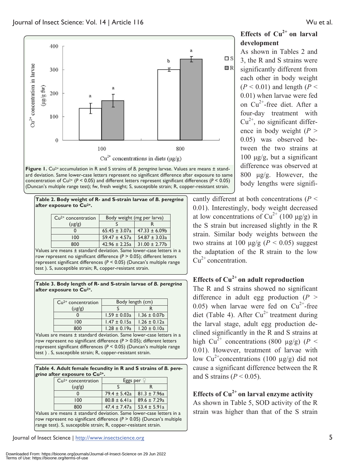

Figure 1. Cu<sup>2+</sup> accumulation in R and S strains of B. peregrina larvae. Values are means ± standard deviation. Same lower-case letters represent no significant difference after exposure to same concentration of  $Cu^{2+}$  ( $P < 0.05$ ) and different letters represent significant differences ( $P < 0.05$ ) (Duncan's multiple range test); fw, fresh weight; S, susceptible strain; R, copper-resistant strain.

**Table 2. Body weight of R- and S-strain larvae of** *B. peregrina* **after exposure to Cu2+.** 

| $Cu2+ concentration$ | Body weight (mg per larva) |                    |  |
|----------------------|----------------------------|--------------------|--|
| $(\mu$ g/g)          |                            |                    |  |
|                      | $65.45 \pm 3.07a$          | $47.33 \pm 6.09b$  |  |
| 100                  | $59.47 \pm 4.57a$          | $54.87 \pm 3.03a$  |  |
|                      | $42.96 \pm 2.25a$          | $31.00 \pm 2.77$ b |  |

Values are means ± standard deviation. Same lower-case letters in a row represent no significant difference (*P* > 0.05); different letters represent significant differences (*P* < 0.05) (Duncan's multiple range test ). S, susceptible strain; R, copper-resistant strain.

**Table 3. Body length of R- and S-strain larvae of** *B. peregrina* **after exposure to Cu2+.** 

| $Cu2+ concentration$ | Body length (cm) |                   |  |
|----------------------|------------------|-------------------|--|
| $(\mu$ g/g)          |                  |                   |  |
|                      | $1.59 \pm 0.03a$ | $1.36 \pm 0.07$ b |  |
| 100                  | $1.47 \pm 0.15a$ | $1.26 \pm 0.12a$  |  |
| 800                  | $1.28 \pm 0.19a$ | $1.20 \pm 0.10a$  |  |

Values are means ± standard deviation. Same lower-case letters in a row represent no significant difference (*P* > 0.05); different letters represent significant differences (*P* < 0.05) (Duncan's multiple range test ) . S, susceptible strain; R, copper-resistant strain.

#### **Table 4. Adult female fecundity in R and S strains of** *B. peregrina* **after exposure to Cu2+.**

| $Cu2+ concentration$ | Eggs per          |                  |  |
|----------------------|-------------------|------------------|--|
| $(\mu$ g/g)          |                   |                  |  |
|                      | 79.4 ± 5.42a      | $81.3 \pm 7.96a$ |  |
| 100                  | $80.8 \pm 6.41a$  | $89.6 \pm 7.29a$ |  |
|                      | $47.4 \pm 7.47$ a | $53.4 \pm 5.91a$ |  |

Values are means ± standard deviation. Same lower-case letters in a row represent no significant difference (*P* > 0.05) (Duncan's multiple range test). S, susceptible strain; R, copper-resistant strain.

**Effects of Cu2+ on larval development** 

As shown in Tables 2 and 3, the R and S strains were significantly different from each other in body weight  $(P < 0.01)$  and length  $(P <$ 0.01) when larvae were fed on  $Cu^{2+}$ -free diet. After a four-day treatment with  $Cu^{2+}$ , no significant difference in body weight  $(P >$ 0.05) was observed between the two strains at  $100 \mu$ g/g, but a significant difference was observed at 800 μg/g. However, the body lengths were signifi-

cantly different at both concentrations (*P* < 0.01). Interestingly, body weight decreased at low concentrations of  $Cu^{2+}$  (100 μg/g) in the S strain but increased slightly in the R strain. Similar body weights between the two strains at 100  $\mu$ g/g ( $P < 0.05$ ) suggest the adaptation of the R strain to the low  $Cu^{2+}$  concentration.

## **Effects of Cu2+ on adult reproduction**

The R and S strains showed no significant difference in adult egg production  $(P >$ 0.05) when larvae were fed on  $Cu^{2+}$ -free diet (Table 4). After  $Cu^{2+}$  treatment during the larval stage, adult egg production declined significantly in the R and S strains at high Cu<sup>2+</sup> concentrations (800 µg/g) ( $P <$ 0.01). However, treatment of larvae with low  $Cu^{2+}$ concentrations (100 µg/g) did not cause a significant difference between the R and S strains ( $P < 0.05$ ).

## **Effects of Cu2+ on larval enzyme activity**

As shown in Table 5, SOD activity of the R strain was higher than that of the S strain

Journal of Insect Science | http://www.insectscience.org 5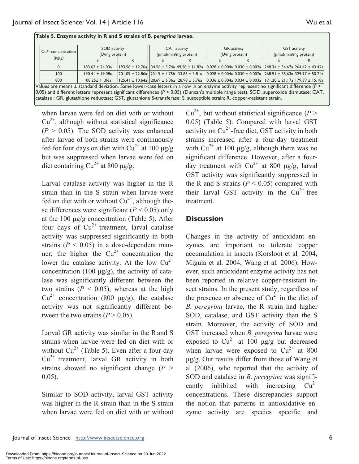| $\vert$ Cu <sup>2+</sup> concentration $\vert$                                                                                                | SOD activity        |                                                                                                                                                                                                                                        | CAT activity          |  | <b>GR</b> activity |  | <b>GST</b> activity   |  |
|-----------------------------------------------------------------------------------------------------------------------------------------------|---------------------|----------------------------------------------------------------------------------------------------------------------------------------------------------------------------------------------------------------------------------------|-----------------------|--|--------------------|--|-----------------------|--|
|                                                                                                                                               | (U/mg protein)      |                                                                                                                                                                                                                                        | (umol/min/mg protein) |  | (U/mg protein)     |  | (µmol/min/mg protein) |  |
| $(\mu g/g)$                                                                                                                                   |                     |                                                                                                                                                                                                                                        |                       |  |                    |  |                       |  |
|                                                                                                                                               | $183.62 \pm 24.03a$ | $\vert 193.56 \pm 12.76$ a $\vert 34.56 \pm 3.74$ a $\vert 49.58 \pm 11.82$ a $\vert 0.028 \pm 0.004$ a $\vert 0.030 \pm 0.002$ a $\vert 248.34 \pm 34.67$ a $\vert 264.42 \pm 43.42$ a $\vert$                                        |                       |  |                    |  |                       |  |
| 100                                                                                                                                           | $190.41 \pm 19.08a$ | $\left 201.09 \pm 22.86a\right $ $\left 23.19 \pm 4.75b\right $ 33.83 $\pm$ 3.81a $\left 0.028 \pm 0.004a\right $ 0.030 $\pm$ 0.007a $\left 268.91 \pm 35.63a\right $ 329.97 $\pm$ 50.74a                                              |                       |  |                    |  |                       |  |
| 800                                                                                                                                           | $108.25 \pm 11.06a$ | $\left  \frac{125.41 \pm 10.64a}{20.69 \pm 6.36a} \right  28.98 \pm 5.76a$ $\left  \frac{0.036 \pm 0.004a}{0.034 \pm 0.003a} \right  171.20 \pm 21.17a$ $\left  \frac{179.39 \pm 15.18a}{20.033 \pm 0.003a} \right  171.20 \pm 21.17a$ |                       |  |                    |  |                       |  |
| Values are means $\pm$ standard deviation. Same lower-case letters in a row in an enzyme activity represent no significant difference ( $P$ ) |                     |                                                                                                                                                                                                                                        |                       |  |                    |  |                       |  |
| 0.05) and different letters represent significant differences ( $P < 0.05$ ) (Duncan's multiple range test). SOD, superoxide dismutase; CAT,  |                     |                                                                                                                                                                                                                                        |                       |  |                    |  |                       |  |
| catalase; GR, glutathione reductase; GST, glutathione S-transferase; S, susceptible strain; R, copper-resistant strain.                       |                     |                                                                                                                                                                                                                                        |                       |  |                    |  |                       |  |

**Table 5. Enzyme activity in R and S strains of** *B. peregrina* **larvae.** 

when larvae were fed on diet with or without  $Cu<sup>2+</sup>$ , although without statistical significance  $(P > 0.05)$ . The SOD activity was enhanced after larvae of both strains were continuously fed for four days on diet with  $Cu^{2+}$  at 100  $\mu$ g/g but was suppressed when larvae were fed on diet containing  $Cu^{2+}$  at 800 μg/g.

Larval catalase activity was higher in the R strain than in the S strain when larvae were fed on diet with or without  $Cu^{2+}$ , although these differences were significant  $(P < 0.05)$  only at the 100 μg/g concentration (Table 5). After four days of  $Cu^{2+}$  treatment, larval catalase activity was suppressed significantly in both strains  $(P < 0.05)$  in a dose-dependent manner; the higher the  $Cu^{2+}$  concentration the lower the catalase activity. At the low  $Cu^{2+}$ concentration (100  $\mu$ g/g), the activity of catalase was significantly different between the two strains  $(P < 0.05)$ , whereas at the high  $Cu^{2+}$  concentration (800 μg/g), the catalase activity was not significantly different between the two strains  $(P > 0.05)$ .

Larval GR activity was similar in the Rand S strains when larvae were fed on diet with or without  $Cu^{2+}$  (Table 5). Even after a four-day  $Cu<sup>2+</sup>$  treatment, larval GR activity in both strains showed no significant change  $(P >$ 0.05).

Similar to SOD activity, larval GST activity was higher in the R strain than in the S strain when larvae were fed on diet with or without  $Cu^{2+}$ , but without statistical significance (*P* > 0.05) (Table 5). Compared with larval GST activity on  $Cu^{2+}$ -free diet, GST activity in both strains increased after a four-day treatment with  $Cu^{2+}$  at 100 μg/g, although there was no significant difference. However, after a fourday treatment with  $Cu^{2+}$  at 800  $\mu$ g/g, larval GST activity was significantly suppressed in the R and S strains  $(P < 0.05)$  compared with their larval GST activity in the  $Cu^{2+}$ -free treatment.

#### **Discussion**

Changes in the activity of antioxidant enzymes are important to tolerate copper accumulation in insects (Korsloot et al*.* 2004, Migula et al*.* 2004, Wang et al*.* 2006). However, such antioxidant enzyme activity has not been reported in relative copper-resistant insect strains. In the present study, regardless of the presence or absence of  $Cu^{2+}$  in the diet of *B. peregrina* larvae, the R strain had higher SOD, catalase, and GST activity than the S strain. Moreover, the activity of SOD and GST increased when *B. peregrina* larvae were exposed to  $Cu^{2+}$  at 100 μg/g but decreased when larvae were exposed to  $Cu^{2+}$  at 800 μg/g. Our results differ from those of Wang et al (2006), who reported that the activity of SOD and catalase in *B. peregrina* was significantly inhibited with increasing  $Cu^{2+}$ concentrations. These discrepancies support the notion that patterns in antioxidative enzyme activity are species specific and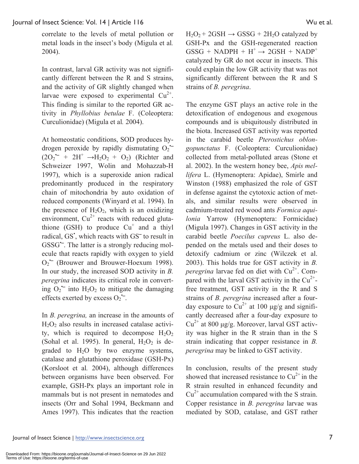correlate to the levels of metal pollution or metal loads in the insect's body (Migula et al*.* 2004).

In contrast, larval GR activity was not significantly different between the R and S strains, and the activity of GR slightly changed when larvae were exposed to experimental  $Cu^{2+}$ . This finding is similar to the reported GR activity in *Phyllobius betulae* F. (Coleoptera: Curculionidae) (Migula et al*.* 2004).

At homeostatic conditions, SOD produces hydrogen peroxide by rapidly dismutating  $O_2$  $(2O_2^{\bullet-} + 2H^+ \rightarrow H_2O_2 + O_2)$  (Richter and Schweizer 1997, Wolin and Mohazzab-H 1997), which is a superoxide anion radical predominantly produced in the respiratory chain of mitochondria by auto oxidation of reduced components (Winyard et al. 1994). In the presence of  $H_2O_2$ , which is an oxidizing environment,  $Cu^{2+}$  reacts with reduced glutathione (GSH) to produce  $Cu^+$  and a thiyl radical, GS<sup>\*</sup>, which reacts with GS<sup>-</sup> to result in GSSG<sup>-</sup>. The latter is a strongly reducing molecule that reacts rapidly with oxygen to yield  $O_2$  (Brouwer and Brouwer-Hoexum 1998). In our study, the increased SOD activity in *B. peregrina* indicates its critical role in converting  $O_2$  into  $H_2O_2$  to mitigate the damaging effects exerted by excess  $O_2$ <sup>--</sup>.

In *B. peregrina,* an increase in the amounts of  $H<sub>2</sub>O<sub>2</sub>$  also results in increased catalase activity, which is required to decompose  $H_2O_2$ (Sohal et al. 1995). In general,  $H_2O_2$  is degraded to  $H_2O$  by two enzyme systems, catalase and glutathione peroxidase (GSH-Px) (Korsloot et al*.* 2004), although differences between organisms have been observed. For example, GSH-Px plays an important role in mammals but is not present in nematodes and insects (Orr and Sohal 1994, Beckmann and Ames 1997). This indicates that the reaction

 $H_2O_2$  + 2GSH  $\rightarrow$  GSSG + 2H<sub>2</sub>O catalyzed by GSH-Px and the GSH-regenerated reaction  $GSSG + NADPH + H^+ \rightarrow 2GSH + NADP^+$ catalyzed by GR do not occur in insects. This could explain the low GR activity that was not significantly different between the R and S strains of *B. peregrina*.

The enzyme GST plays an active role in the detoxification of endogenous and exogenous compounds and is ubiquitously distributed in the biota. Increased GST activity was reported in the carabid beetle *Pterostichus oblongopunctatus* F. (Coleoptera: Curculionidae) collected from metal-polluted areas (Stone et al. 2002). In the western honey bee, *Apis mellifera* L. (Hymenoptera: Apidae), Smirle and Winston (1988) emphasized the role of GST in defense against the cytotoxic action of metals, and similar results were observed in cadmium-treated red wood ants *Formica aquilonia* Yarrow (Hymenoptera: Formicidae) (Migula 1997). Changes in GST activity in the carabid beetle *Poecilus cupreus* L. also depended on the metals used and their doses to detoxify cadmium or zinc (Wilczek et al. 2003). This holds true for GST activity in *B. peregrina* larvae fed on diet with  $Cu^{2+}$ . Compared with the larval GST activity in the  $Cu^{2+}$ free treatment, GST activity in the R and S strains of *B. peregrina* increased after a fourday exposure to  $Cu^{2+}$  at 100 μg/g and significantly decreased after a four-day exposure to  $Cu^{2+}$  at 800 μg/g. Moreover, larval GST activity was higher in the R strain than in the S strain indicating that copper resistance in *B. peregrina* may be linked to GST activity.

In conclusion, results of the present study showed that increased resistance to  $Cu^{2+}$  in the R strain resulted in enhanced fecundity and  $Cu^{2+}$  accumulation compared with the S strain. Copper resistance in *B. peregrina* larvae was mediated by SOD, catalase, and GST rather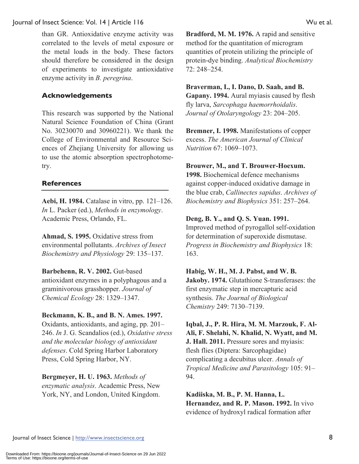than GR. Antioxidative enzyme activity was correlated to the levels of metal exposure or the metal loads in the body. These factors should therefore be considered in the design of experiments to investigate antioxidative enzyme activity in *B. peregrina*.

#### **Acknowledgements**

This research was supported by the National Natural Science Foundation of China (Grant No. 30230070 and 30960221). We thank the College of Environmental and Resource Sciences of Zhejiang University for allowing us to use the atomic absorption spectrophotometry.

#### **References**

**Aebi, H. 1984.** Catalase in vitro, pp. 121–126. *In* L. Packer (ed.), *Methods in enzymology*. Academic Press, Orlando, FL.

**Ahmad, S. 1995.** Oxidative stress from environmental pollutants. *Archives of Insect Biochemistry and Physiology* 29: 135–137.

**Barbehenn, R. V. 2002.** Gut-based antioxidant enzymes in a polyphagous and a graminivorous grasshopper. *Journal of Chemical Ecology* 28: 1329–1347.

#### **Beckmann, K. B., and B. N. Ames. 1997.**

Oxidants, antioxidants, and aging, pp. 201– 246. *In* J. G. Scandalios (ed.), *Oxidative stress and the molecular biology of antioxidant defenses*. Cold Spring Harbor Laboratory Press, Cold Spring Harbor, NY.

**Bergmeyer, H. U. 1963.** *Methods of enzymatic analysis*. Academic Press, New York, NY, and London, United Kingdom.

**Bradford, M. M. 1976.** A rapid and sensitive method for the quantitation of microgram quantities of protein utilizing the principle of protein-dye binding. *Analytical Biochemistry* 72: 248–254.

#### **Braverman, I., I. Dano, D. Saah, and B. Gapany. 1994.** Aural myiasis caused by flesh fly larva, *Sarcophaga haemorrhoidalis*.

*Journal of Otolaryngology* 23: 204–205.

**Bremner, I. 1998.** Manifestations of copper excess. *The American Journal of Clinical Nutrition* 67: 1069–1073.

#### **Brouwer, M., and T. Brouwer-Hoexum.**

**1998.** Biochemical defence mechanisms against copper-induced oxidative damage in the blue crab, *Callinectes sapidus*. *Archives of Biochemistry and Biophysics* 351: 257–264.

#### **Deng, B. Y., and Q. S. Yuan. 1991.**

Improved method of pyrogallol self-oxidation for determination of superoxide dismutase. *Progress in Biochemistry and Biophysics* 18: 163.

#### **Habig, W. H., M. J. Pabst, and W. B.**

**Jakoby. 1974.** Glutathione S-transferases: the first enzymatic step in mercapturic acid synthesis. *The Journal of Biological Chemistry* 249: 7130–7139.

**Iqbal, J., P. R. Hira, M. M. Marzouk, F. Al-Ali, F. Shelahi, N. Khalid, N. Wyatt, and M. J. Hall. 2011.** Pressure sores and myiasis: flesh flies (Diptera: Sarcophagidae) complicating a decubitus ulcer. *Annals of Tropical Medicine and Parasitology* 105: 91– 94.

**Kadiiska, M. B., P. M. Hanna, L. Hernandez, and R. P. Mason. 1992.** In vivo evidence of hydroxyl radical formation after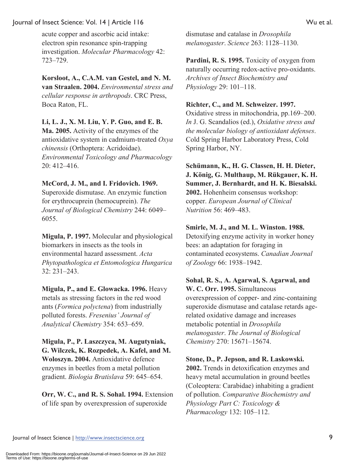acute copper and ascorbic acid intake: electron spin resonance spin-trapping investigation. *Molecular Pharmacology* 42: 723–729.

**Korsloot, A., C.A.M. van Gestel, and N. M. van Straalen. 2004.** *Environmental stress and cellular response in arthropods*. CRC Press, Boca Raton, FL.

#### **Li, L. J., X. M. Liu, Y. P. Guo, and E. B.**

**Ma. 2005.** Activity of the enzymes of the antioxidative system in cadmium-treated *Oxya chinensis* (Orthoptera: Acridoidae). *Environmental Toxicology and Pharmacology* 20: 412–416.

#### **McCord, J. M., and I. Fridovich. 1969.**

Superoxide dismutase. An enzymic function for erythrocuprein (hemocuprein). *The Journal of Biological Chemistry* 244: 6049– 6055.

**Migula, P. 1997.** Molecular and physiological biomarkers in insects as the tools in environmental hazard assessment. *Acta Phytopathologica et Entomologica Hungarica* 32: 231–243.

**Migula, P., and E. Glowacka. 1996.** Heavy metals as stressing factors in the red wood ants (*Formica polyctena*) from industrially polluted forests. *Fresenius' Journal of Analytical Chemistry* 354: 653–659.

**Migula, P., P. Laszczyca, M. Augutyniak, G. Wilczek, K. Rozpedek, A. Kafel, and M. Woloszyn. 2004.** Antioxidative defence enzymes in beetles from a metal pollution gradient. *Biologia Bratislava* 59: 645–654.

**Orr, W. C., and R. S. Sohal. 1994.** Extension of life span by overexpression of superoxide

dismutase and catalase in *Drosophila melanogaster*. *Science* 263: 1128–1130.

**Pardini, R. S. 1995.** Toxicity of oxygen from naturally occurring redox-active pro-oxidants. *Archives of Insect Biochemistry and Physiology* 29: 101–118.

#### **Richter, C., and M. Schweizer. 1997.**

Oxidative stress in mitochondria, pp.169–200. *In* J. G. Scandalios (ed.), *Oxidative stress and the molecular biology of antioxidant defenses*. Cold Spring Harbor Laboratory Press, Cold Spring Harbor, NY.

**Schümann, K., H. G. Classen, H. H. Dieter, J. König, G. Multhaup, M. Rükgauer, K. H. Summer, J. Bernhardt, and H. K. Biesalski. 2002.** Hohenheim consensus workshop: copper. *European Journal of Clinical Nutrition* 56: 469–483.

#### **Smirle, M. J., and M. L. Winston. 1988.**

Detoxifying enzyme activity in worker honey bees: an adaptation for foraging in contaminated ecosystems. *Canadian Journal of Zoology* 66: 1938–1942.

#### **Sohal, R. S., A. Agarwal, S. Agarwal, and W. C. Orr. 1995.** Simultaneous

overexpression of copper- and zinc-containing superoxide dismutase and catalase retards agerelated oxidative damage and increases metabolic potential in *Drosophila melanogaster*. *The Journal of Biological Chemistry* 270: 15671–15674.

## **Stone, D., P. Jepson, and R. Laskowski.**

**2002.** Trends in detoxification enzymes and heavy metal accumulation in ground beetles (Coleoptera: Carabidae) inhabiting a gradient of pollution. *Comparative Biochemistry and Physiology Part C: Toxicology & Pharmacology* 132: 105–112.